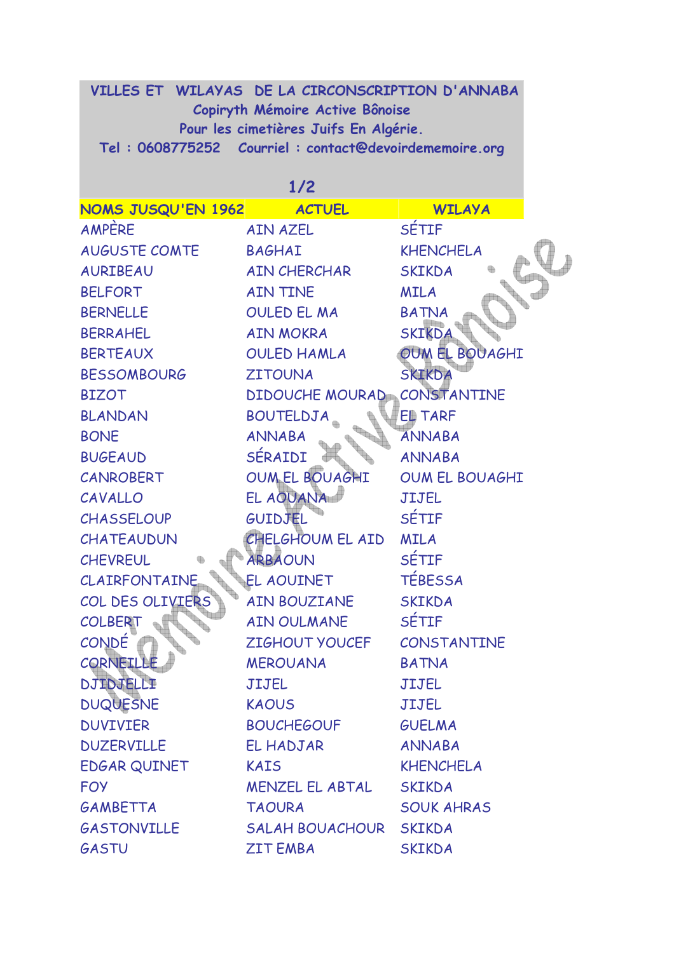## **VILLES ET WILAYAS DE LA CIRCONSCRIPTION D'ANNABA Copiryth Mémoire Active Bônoise Pour les cimetières Juifs En Algérie. Tel : 0608775252 Courriel : contact@devoirdememoire.org**

**1/2** 

| NOMS JUSQU'EN 1962 ACTUEL |                            | <b>WILAYA</b>         |
|---------------------------|----------------------------|-----------------------|
| AMPÈRE                    | <b>AIN AZEL</b>            | <b>SÉTIF</b>          |
| <b>AUGUSTE COMTE</b>      | <b>BAGHAI</b>              | <b>KHENCHELA</b>      |
| <b>AURIBEAU</b>           | <b>AIN CHERCHAR</b>        | <b>SKIKDA</b>         |
| <b>BELFORT</b>            | <b>AIN TINE</b>            | <b>MILA</b>           |
| <b>BERNELLE</b>           | OULED EL MA                | <b>BATNA</b>          |
| <b>BERRAHEL</b>           | AIN MOKRA                  | <b>SKIKDA</b>         |
| <b>BERTEAUX</b>           | <b>OULED HAMLA</b>         | OUM EL BOUAGHI        |
| <b>BESSOMBOURG</b>        | <b>ZITOUNA</b>             | <b>SKIKDA</b>         |
| <b>BIZOT</b>              | <b>DIDOUCHE MOURAD</b>     | CONSTANTINE           |
| <b>BLANDAN</b>            | <b>BOUTELDJA</b>           | <b>ED TARF</b>        |
| <b>BONE</b>               | <b>ANNABA</b>              | <b>ANNABA</b>         |
| <b>BUGEAUD</b>            | SÉRAIDI                    | <b>ANNABA</b>         |
| CANROBERT                 | OUM EL BOUAGHI             | <b>OUM EL BOUAGHI</b> |
| CAVALLO                   | EL AOUANA                  | <b>JIJEL</b>          |
| <b>CHASSELOUP</b>         | GUIDJEL                    | <b>SÉTIF</b>          |
| CHATEAUDUN                | CHELGHOUM EL AID           | <b>MILA</b>           |
| <b>CHEVREUL</b>           | <b>ARBAOUN</b>             | <b>SÉTIF</b>          |
| <b>CLAIRFONTAINE</b>      | EL AOUINET                 | <b>TÉBESSA</b>        |
| COL DES OLIVIERS          | AIN BOUZIANE               | <b>SKIKDA</b>         |
| <b>COLBERT</b>            | AIN OULMANE                | SÉTIF                 |
| <b>CONDE</b>              | ZIGHOUT YOUCEF CONSTANTINE |                       |
| CORNEILLE                 | <b>MEROUANA</b>            | <b>BATNA</b>          |
| DJIDJELLI                 | <b>JIJEL</b>               | <b>JIJEL</b>          |
| <b>DUQUESNE</b>           | <b>KAOUS</b>               | JIJEL                 |
| <b>DUVIVIER</b>           | <b>BOUCHEGOUF</b>          | <b>GUELMA</b>         |
| <b>DUZERVILLE</b>         | EL HADJAR                  | <b>ANNABA</b>         |
| EDGAR QUINET              | <b>KAIS</b>                | <b>KHENCHELA</b>      |
| <b>FOY</b>                | MENZEL EL ABTAL            | <b>SKIKDA</b>         |
| GAMBETTA                  | <b>TAOURA</b>              | <b>SOUK AHRAS</b>     |
| <b>GASTONVILLE</b>        | SALAH BOUACHOUR SKIKDA     |                       |
| GASTU                     | <b>ZIT EMBA</b>            | <b>SKIKDA</b>         |